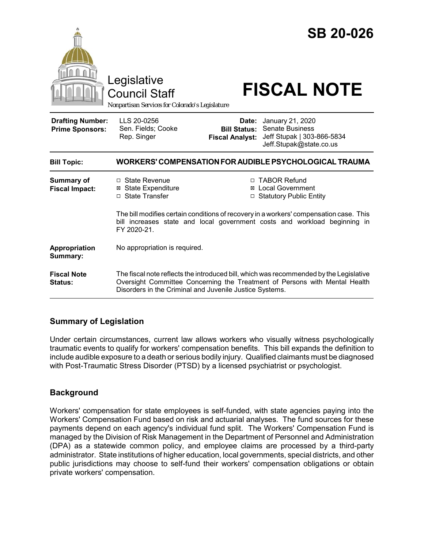|                                                   | Legislative<br><b>Council Staff</b><br>Nonpartisan Services for Colorado's Legislature                                                                                                                                          |                                 | <b>SB 20-026</b><br><b>FISCAL NOTE</b>                                                                                                                      |
|---------------------------------------------------|---------------------------------------------------------------------------------------------------------------------------------------------------------------------------------------------------------------------------------|---------------------------------|-------------------------------------------------------------------------------------------------------------------------------------------------------------|
| <b>Drafting Number:</b><br><b>Prime Sponsors:</b> | LLS 20-0256<br>Sen. Fields; Cooke<br>Rep. Singer                                                                                                                                                                                | Date:<br><b>Fiscal Analyst:</b> | January 21, 2020<br><b>Bill Status: Senate Business</b><br>Jeff Stupak   303-866-5834<br>Jeff.Stupak@state.co.us                                            |
| <b>Bill Topic:</b>                                |                                                                                                                                                                                                                                 |                                 | WORKERS' COMPENSATION FOR AUDIBLE PSYCHOLOGICAL TRAUMA                                                                                                      |
| Summary of<br><b>Fiscal Impact:</b>               | □ State Revenue<br><b>⊠ State Expenditure</b><br>□ State Transfer                                                                                                                                                               |                                 | □ TABOR Refund<br>⊠ Local Government<br>□ Statutory Public Entity<br>The bill modifies certain conditions of recovery in a workers' compensation case. This |
|                                                   | FY 2020-21.                                                                                                                                                                                                                     |                                 | bill increases state and local government costs and workload beginning in                                                                                   |
| Appropriation<br>Summary:                         | No appropriation is required.                                                                                                                                                                                                   |                                 |                                                                                                                                                             |
| <b>Fiscal Note</b><br>Status:                     | The fiscal note reflects the introduced bill, which was recommended by the Legislative<br>Oversight Committee Concerning the Treatment of Persons with Mental Health<br>Disorders in the Criminal and Juvenile Justice Systems. |                                 |                                                                                                                                                             |

# **Summary of Legislation**

Under certain circumstances, current law allows workers who visually witness psychologically traumatic events to qualify for workers' compensation benefits. This bill expands the definition to include audible exposure to a death or serious bodily injury. Qualified claimants must be diagnosed with Post-Traumatic Stress Disorder (PTSD) by a licensed psychiatrist or psychologist.

# **Background**

Workers' compensation for state employees is self-funded, with state agencies paying into the Workers' Compensation Fund based on risk and actuarial analyses. The fund sources for these payments depend on each agency's individual fund split. The Workers' Compensation Fund is managed by the Division of Risk Management in the Department of Personnel and Administration (DPA) as a statewide common policy, and employee claims are processed by a third-party administrator. State institutions of higher education, local governments, special districts, and other public jurisdictions may choose to self-fund their workers' compensation obligations or obtain private workers' compensation.